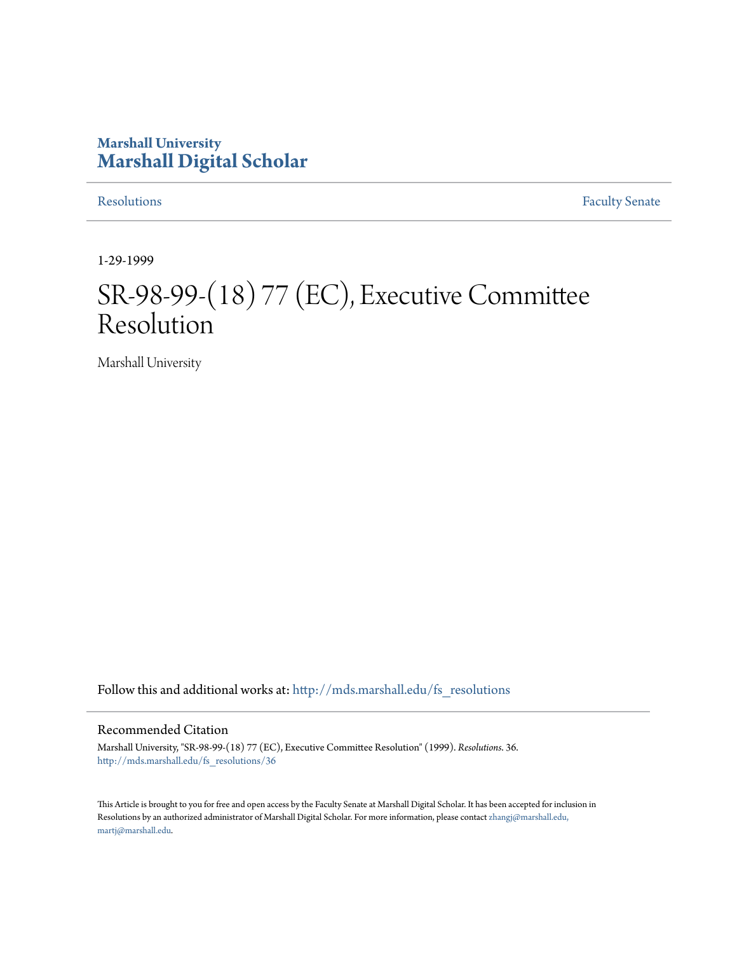## **Marshall University [Marshall Digital Scholar](http://mds.marshall.edu?utm_source=mds.marshall.edu%2Ffs_resolutions%2F36&utm_medium=PDF&utm_campaign=PDFCoverPages)**

[Resolutions](http://mds.marshall.edu/fs_resolutions?utm_source=mds.marshall.edu%2Ffs_resolutions%2F36&utm_medium=PDF&utm_campaign=PDFCoverPages) [Faculty Senate](http://mds.marshall.edu/fs?utm_source=mds.marshall.edu%2Ffs_resolutions%2F36&utm_medium=PDF&utm_campaign=PDFCoverPages)

1-29-1999

# SR-98-99-(18) 77 (EC), Executive Committee Resolution

Marshall University

Follow this and additional works at: [http://mds.marshall.edu/fs\\_resolutions](http://mds.marshall.edu/fs_resolutions?utm_source=mds.marshall.edu%2Ffs_resolutions%2F36&utm_medium=PDF&utm_campaign=PDFCoverPages)

### Recommended Citation

Marshall University, "SR-98-99-(18) 77 (EC), Executive Committee Resolution" (1999). *Resolutions*. 36. [http://mds.marshall.edu/fs\\_resolutions/36](http://mds.marshall.edu/fs_resolutions/36?utm_source=mds.marshall.edu%2Ffs_resolutions%2F36&utm_medium=PDF&utm_campaign=PDFCoverPages)

This Article is brought to you for free and open access by the Faculty Senate at Marshall Digital Scholar. It has been accepted for inclusion in Resolutions by an authorized administrator of Marshall Digital Scholar. For more information, please contact [zhangj@marshall.edu,](mailto:zhangj@marshall.edu,%20martj@marshall.edu) [martj@marshall.edu](mailto:zhangj@marshall.edu,%20martj@marshall.edu).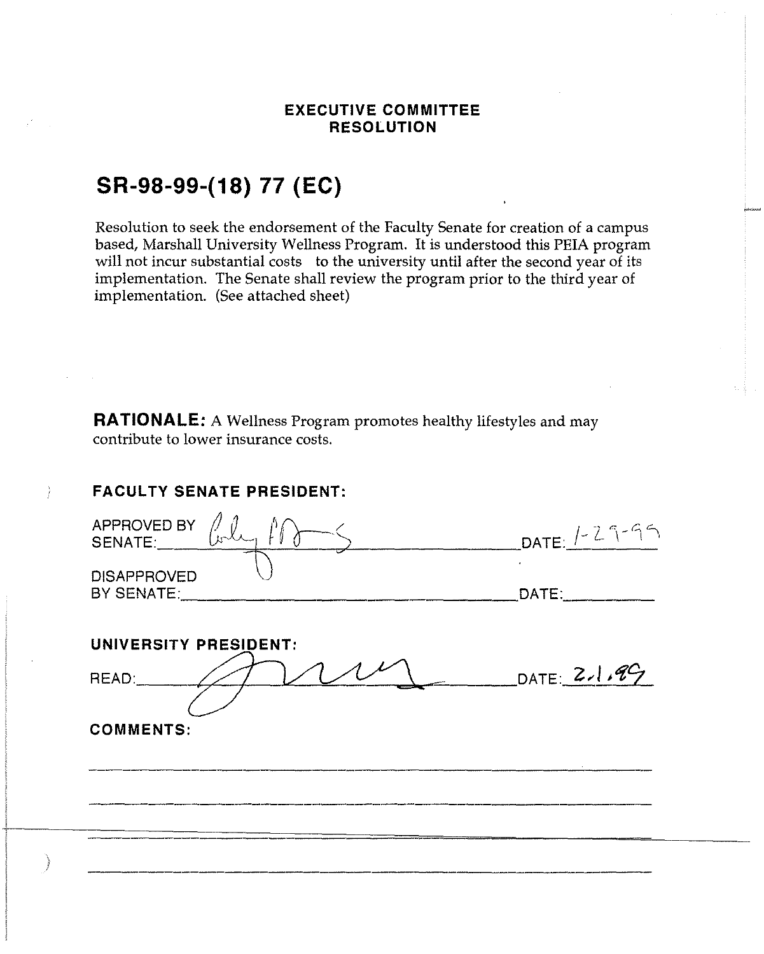### **EXECUTIVE COMMITTEE RESOLUTION**

# **SR-98-99-(18) 77 (EC)**

Resolution to seek the endorsement of the Faculty Senate for creation of a campus based, Marshall University Wellness Program. It is understood this PEIA program will not incur substantial costs to the university until after the second year of its implementation. The Senate shall review the program prior to the third year of implementation. (See attached sheet)

**RATIONALE:** A Wellness Program promotes healthy lifestyles and may contribute to lower insurance costs.

### **FACULTY SENATE PRESIDENT:**

| APPROVED BY<br>SENATE:           | $DATE: 1 - 29 - 95$ |
|----------------------------------|---------------------|
| <b>DISAPPROVED</b><br>BY SENATE: | DATE:               |
| UNIVERSITY PRESIDENT:            |                     |
| READ:                            | DATE: $2,1.99$      |
|                                  |                     |
| <b>COMMENTS:</b>                 |                     |
|                                  |                     |
|                                  |                     |
|                                  |                     |